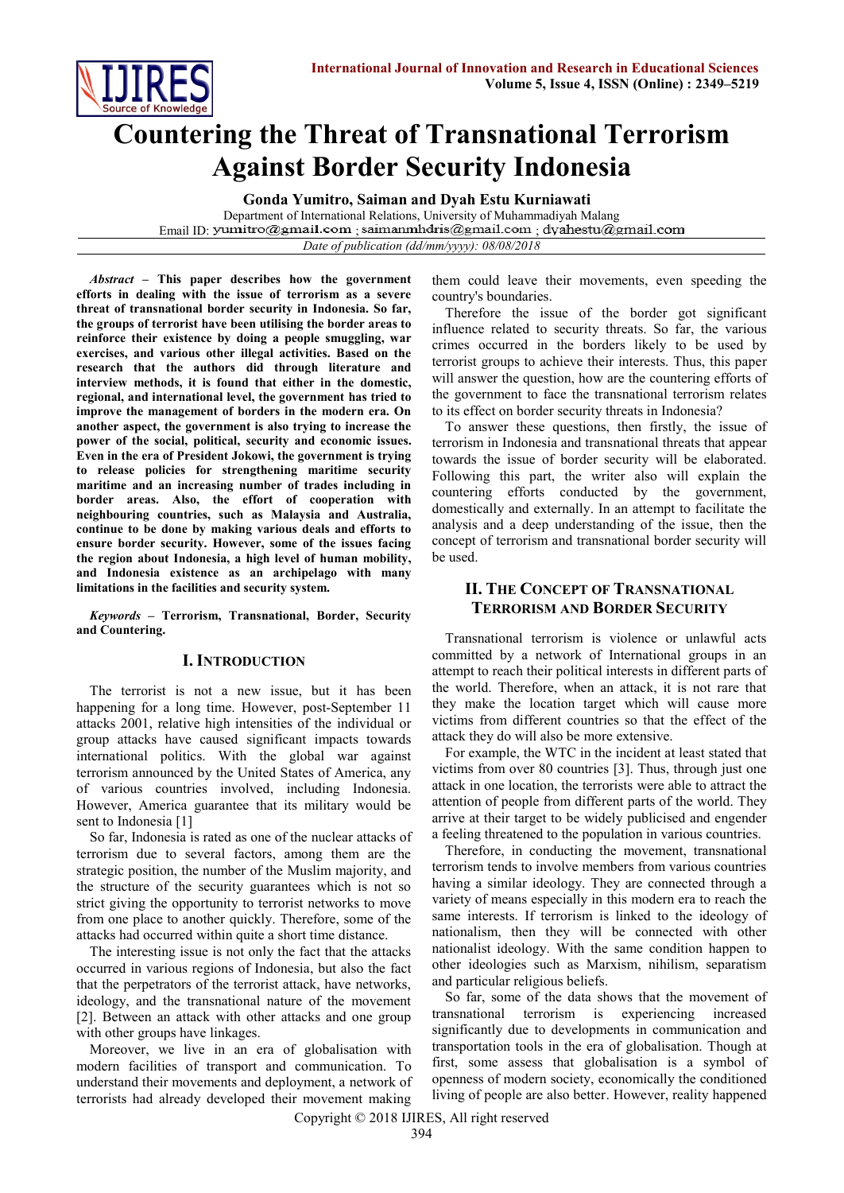

# **Countering the Threat of Transnational Terrorism Against Border Security Indonesia**

**Gonda Yumitro, Saiman and Dyah Estu Kurniawati**

Department of International Relations, University of Muhammadiyah Malang Email ID: yumitro@gmail.com saimanmhdris@gmail.com dyahestu@gmail.com *Date of publication (dd/mm/yyyy): 08/08/2018*

*Abstract* **– This paper describes how the government efforts in dealing with the issue of terrorism as a severe threat of transnational border security in Indonesia. So far, the groups of terrorist have been utilising the border areas to reinforce their existence by doing a people smuggling, war exercises, and various other illegal activities. Based on the research that the authors did through literature and interview methods, it is found that either in the domestic, regional, and international level, the government has tried to improve the management of borders in the modern era. On another aspect, the government is also trying to increase the power of the social, political, security and economic issues. Even in the era of President Jokowi, the government is trying to release policies for strengthening maritime security maritime and an increasing number of trades including in border areas. Also, the effort of cooperation with neighbouring countries, such as Malaysia and Australia, continue to be done by making various deals and efforts to ensure border security. However, some of the issues facing the region about Indonesia, a high level of human mobility, and Indonesia existence as an archipelago with many limitations in the facilities and security system.**

*Keywords* **– Terrorism, Transnational, Border, Security and Countering.**

#### **I. INTRODUCTION**

The terrorist is not a new issue, but it has been happening for a long time. However, post-September 11 attacks 2001, relative high intensities of the individual or group attacks have caused significant impacts towards international politics. With the global war against terrorism announced by the United States of America, any of various countries involved, including Indonesia. However, America guarantee that its military would be sent to Indonesia [1]

So far, Indonesia is rated as one of the nuclear attacks of terrorism due to several factors, among them are the strategic position, the number of the Muslim majority, and the structure of the security guarantees which is not so strict giving the opportunity to terrorist networks to move from one place to another quickly. Therefore, some of the attacks had occurred within quite a short time distance.

The interesting issue is not only the fact that the attacks occurred in various regions of Indonesia, but also the fact that the perpetrators of the terrorist attack, have networks, ideology, and the transnational nature of the movement [2]. Between an attack with other attacks and one group with other groups have linkages.

Moreover, we live in an era of globalisation with modern facilities of transport and communication. To understand their movements and deployment, a network of terrorists had already developed their movement making them could leave their movements, even speeding the country's boundaries.

Therefore the issue of the border got significant influence related to security threats. So far, the various crimes occurred in the borders likely to be used by terrorist groups to achieve their interests. Thus, this paper will answer the question, how are the countering efforts of the government to face the transnational terrorism relates to its effect on border security threats in Indonesia?

To answer these questions, then firstly, the issue of terrorism in Indonesia and transnational threats that appear towards the issue of border security will be elaborated. Following this part, the writer also will explain the countering efforts conducted by the government, domestically and externally. In an attempt to facilitate the analysis and a deep understanding of the issue, then the concept of terrorism and transnational border security will be used.

#### **II. THE CONCEPT OF TRANSNATIONAL TERRORISM AND BORDER SECURITY**

Transnational terrorism is violence or unlawful acts committed by a network of International groups in an attempt to reach their political interests in different parts of the world. Therefore, when an attack, it is not rare that they make the location target which will cause more victims from different countries so that the effect of the attack they do will also be more extensive.

For example, the WTC in the incident at least stated that victims from over 80 countries [3]. Thus, through just one attack in one location, the terrorists were able to attract the attention of people from different parts of the world. They arrive at their target to be widely publicised and engender a feeling threatened to the population in various countries.

Therefore, in conducting the movement, transnational terrorism tends to involve members from various countries having a similar ideology. They are connected through a variety of means especially in this modern era to reach the same interests. If terrorism is linked to the ideology of nationalism, then they will be connected with other nationalist ideology. With the same condition happen to other ideologies such as Marxism, nihilism, separatism and particular religious beliefs.

So far, some of the data shows that the movement of transnational terrorism is experiencing increased significantly due to developments in communication and transportation tools in the era of globalisation. Though at first, some assess that globalisation is a symbol of openness of modern society, economically the conditioned living of people are also better. However, reality happened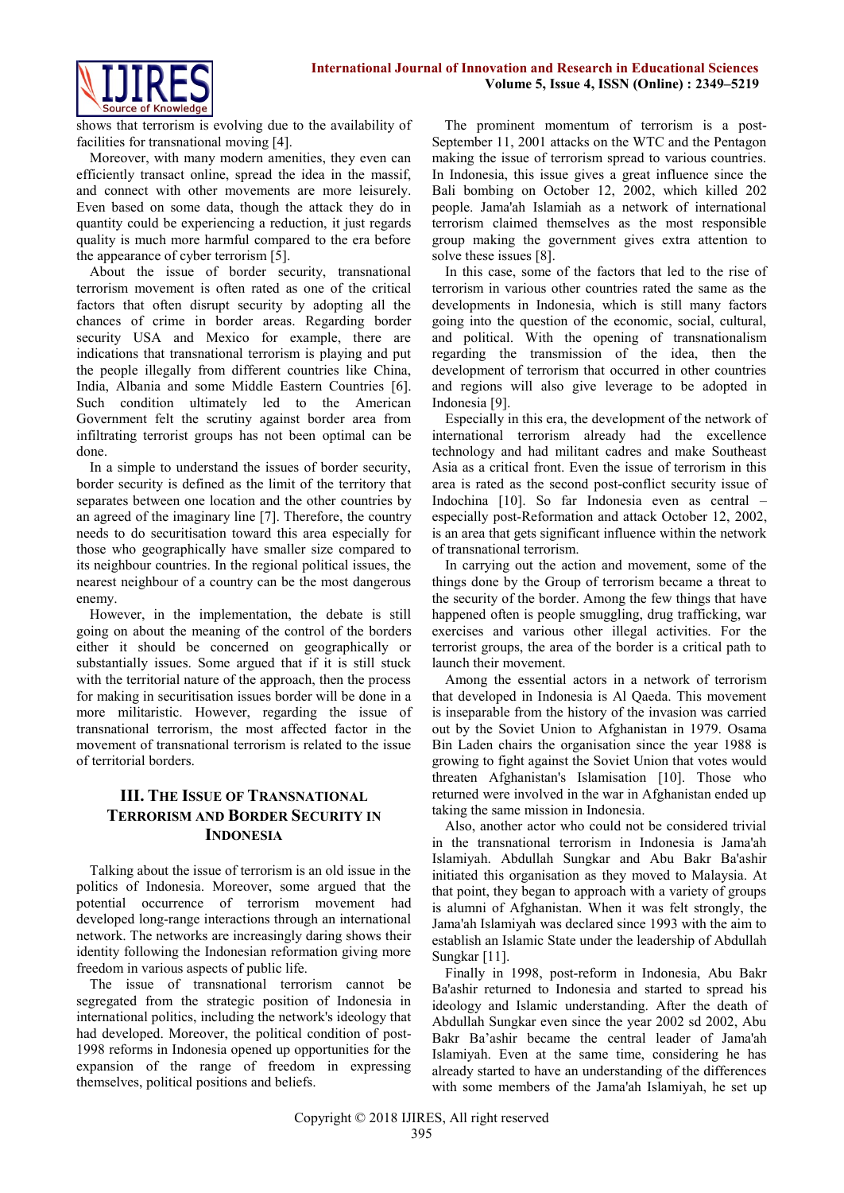

shows that terrorism is evolving due to the availability of facilities for transnational moving [4].

Moreover, with many modern amenities, they even can efficiently transact online, spread the idea in the massif, and connect with other movements are more leisurely. Even based on some data, though the attack they do in quantity could be experiencing a reduction, it just regards quality is much more harmful compared to the era before the appearance of cyber terrorism [5].

About the issue of border security, transnational terrorism movement is often rated as one of the critical factors that often disrupt security by adopting all the chances of crime in border areas. Regarding border security USA and Mexico for example, there are indications that transnational terrorism is playing and put the people illegally from different countries like China, India, Albania and some Middle Eastern Countries [6]. Such condition ultimately led to the American Government felt the scrutiny against border area from infiltrating terrorist groups has not been optimal can be done.

In a simple to understand the issues of border security, border security is defined as the limit of the territory that separates between one location and the other countries by an agreed of the imaginary line [7]. Therefore, the country needs to do securitisation toward this area especially for those who geographically have smaller size compared to its neighbour countries. In the regional political issues, the nearest neighbour of a country can be the most dangerous enemy.

However, in the implementation, the debate is still going on about the meaning of the control of the borders either it should be concerned on geographically or substantially issues. Some argued that if it is still stuck with the territorial nature of the approach, then the process for making in securitisation issues border will be done in a more militaristic. However, regarding the issue of transnational terrorism, the most affected factor in the movement of transnational terrorism is related to the issue of territorial borders.

## **III. THE ISSUE OF TRANSNATIONAL TERRORISM AND BORDER SECURITY IN INDONESIA**

Talking about the issue of terrorism is an old issue in the politics of Indonesia. Moreover, some argued that the potential occurrence of terrorism movement had developed long-range interactions through an international network. The networks are increasingly daring shows their identity following the Indonesian reformation giving more freedom in various aspects of public life.

The issue of transnational terrorism cannot be segregated from the strategic position of Indonesia in international politics, including the network's ideology that had developed. Moreover, the political condition of post-1998 reforms in Indonesia opened up opportunities for the expansion of the range of freedom in expressing themselves, political positions and beliefs.

The prominent momentum of terrorism is a post-September 11, 2001 attacks on the WTC and the Pentagon making the issue of terrorism spread to various countries. In Indonesia, this issue gives a great influence since the Bali bombing on October 12, 2002, which killed 202 people. Jama'ah Islamiah as a network of international terrorism claimed themselves as the most responsible group making the government gives extra attention to solve these issues [8].

In this case, some of the factors that led to the rise of terrorism in various other countries rated the same as the developments in Indonesia, which is still many factors going into the question of the economic, social, cultural, and political. With the opening of transnationalism regarding the transmission of the idea, then the development of terrorism that occurred in other countries and regions will also give leverage to be adopted in Indonesia [9].

Especially in this era, the development of the network of international terrorism already had the excellence technology and had militant cadres and make Southeast Asia as a critical front. Even the issue of terrorism in this area is rated as the second post-conflict security issue of Indochina [10]. So far Indonesia even as central – especially post-Reformation and attack October 12, 2002, is an area that gets significant influence within the network of transnational terrorism.

In carrying out the action and movement, some of the things done by the Group of terrorism became a threat to the security of the border. Among the few things that have happened often is people smuggling, drug trafficking, war exercises and various other illegal activities. For the terrorist groups, the area of the border is a critical path to launch their movement.

Among the essential actors in a network of terrorism that developed in Indonesia is Al Qaeda. This movement is inseparable from the history of the invasion was carried out by the Soviet Union to Afghanistan in 1979. Osama Bin Laden chairs the organisation since the year 1988 is growing to fight against the Soviet Union that votes would threaten Afghanistan's Islamisation [10]. Those who returned were involved in the war in Afghanistan ended up taking the same mission in Indonesia.

Also, another actor who could not be considered trivial in the transnational terrorism in Indonesia is Jama'ah Islamiyah. Abdullah Sungkar and Abu Bakr Ba'ashir initiated this organisation as they moved to Malaysia. At that point, they began to approach with a variety of groups is alumni of Afghanistan. When it was felt strongly, the Jama'ah Islamiyah was declared since 1993 with the aim to establish an Islamic State under the leadership of Abdullah Sungkar [11].

Finally in 1998, post-reform in Indonesia, Abu Bakr Ba'ashir returned to Indonesia and started to spread his ideology and Islamic understanding. After the death of Abdullah Sungkar even since the year 2002 sd 2002, Abu Bakr Ba'ashir became the central leader of Jama'ah Islamiyah. Even at the same time, considering he has already started to have an understanding of the differences with some members of the Jama'ah Islamiyah, he set up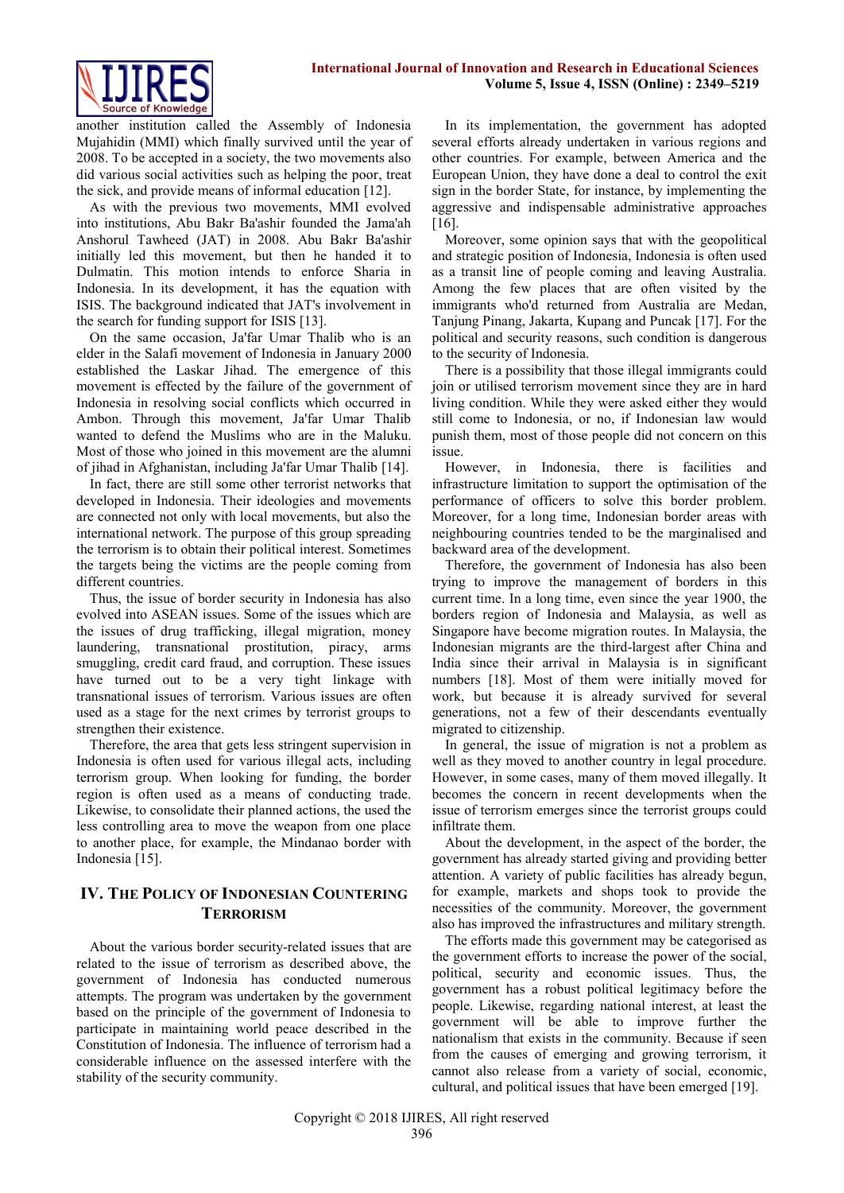

another institution called the Assembly of Indonesia Mujahidin (MMI) which finally survived until the year of 2008. To be accepted in a society, the two movements also did various social activities such as helping the poor, treat the sick, and provide means of informal education [12].

As with the previous two movements, MMI evolved into institutions, Abu Bakr Ba'ashir founded the Jama'ah Anshorul Tawheed (JAT) in 2008. Abu Bakr Ba'ashir initially led this movement, but then he handed it to Dulmatin. This motion intends to enforce Sharia in Indonesia. In its development, it has the equation with ISIS. The background indicated that JAT's involvement in the search for funding support for ISIS [13].

On the same occasion, Ja'far Umar Thalib who is an elder in the Salafi movement of Indonesia in January 2000 established the Laskar Jihad. The emergence of this movement is effected by the failure of the government of Indonesia in resolving social conflicts which occurred in Ambon. Through this movement, Ja'far Umar Thalib wanted to defend the Muslims who are in the Maluku. Most of those who joined in this movement are the alumni of jihad in Afghanistan, including Ja'far Umar Thalib [14].

In fact, there are still some other terrorist networks that developed in Indonesia. Their ideologies and movements are connected not only with local movements, but also the international network. The purpose of this group spreading the terrorism is to obtain their political interest. Sometimes the targets being the victims are the people coming from different countries.

Thus, the issue of border security in Indonesia has also evolved into ASEAN issues. Some of the issues which are the issues of drug trafficking, illegal migration, money laundering, transnational prostitution, piracy, arms smuggling, credit card fraud, and corruption. These issues have turned out to be a very tight linkage with transnational issues of terrorism. Various issues are often used as a stage for the next crimes by terrorist groups to strengthen their existence.

Therefore, the area that gets less stringent supervision in Indonesia is often used for various illegal acts, including terrorism group. When looking for funding, the border region is often used as a means of conducting trade. Likewise, to consolidate their planned actions, the used the less controlling area to move the weapon from one place to another place, for example, the Mindanao border with Indonesia [15].

## **IV. THE POLICY OF INDONESIAN COUNTERING TERRORISM**

About the various border security-related issues that are related to the issue of terrorism as described above, the government of Indonesia has conducted numerous attempts. The program was undertaken by the government based on the principle of the government of Indonesia to participate in maintaining world peace described in the Constitution of Indonesia. The influence of terrorism had a considerable influence on the assessed interfere with the stability of the security community.

In its implementation, the government has adopted several efforts already undertaken in various regions and other countries. For example, between America and the European Union, they have done a deal to control the exit sign in the border State, for instance, by implementing the aggressive and indispensable administrative approaches [16].

Moreover, some opinion says that with the geopolitical and strategic position of Indonesia, Indonesia is often used as a transit line of people coming and leaving Australia. Among the few places that are often visited by the immigrants who'd returned from Australia are Medan, Tanjung Pinang, Jakarta, Kupang and Puncak [17]. For the political and security reasons, such condition is dangerous to the security of Indonesia.

There is a possibility that those illegal immigrants could join or utilised terrorism movement since they are in hard living condition. While they were asked either they would still come to Indonesia, or no, if Indonesian law would punish them, most of those people did not concern on this issue.

However, in Indonesia, there is facilities and infrastructure limitation to support the optimisation of the performance of officers to solve this border problem. Moreover, for a long time, Indonesian border areas with neighbouring countries tended to be the marginalised and backward area of the development.

Therefore, the government of Indonesia has also been trying to improve the management of borders in this current time. In a long time, even since the year 1900, the borders region of Indonesia and Malaysia, as well as Singapore have become migration routes. In Malaysia, the Indonesian migrants are the third-largest after China and India since their arrival in Malaysia is in significant numbers [18]. Most of them were initially moved for work, but because it is already survived for several generations, not a few of their descendants eventually migrated to citizenship.

In general, the issue of migration is not a problem as well as they moved to another country in legal procedure. However, in some cases, many of them moved illegally. It becomes the concern in recent developments when the issue of terrorism emerges since the terrorist groups could infiltrate them.

About the development, in the aspect of the border, the government has already started giving and providing better attention. A variety of public facilities has already begun, for example, markets and shops took to provide the necessities of the community. Moreover, the government also has improved the infrastructures and military strength.

The efforts made this government may be categorised as the government efforts to increase the power of the social, political, security and economic issues. Thus, the government has a robust political legitimacy before the people. Likewise, regarding national interest, at least the government will be able to improve further the nationalism that exists in the community. Because if seen from the causes of emerging and growing terrorism, it cannot also release from a variety of social, economic, cultural, and political issues that have been emerged [19].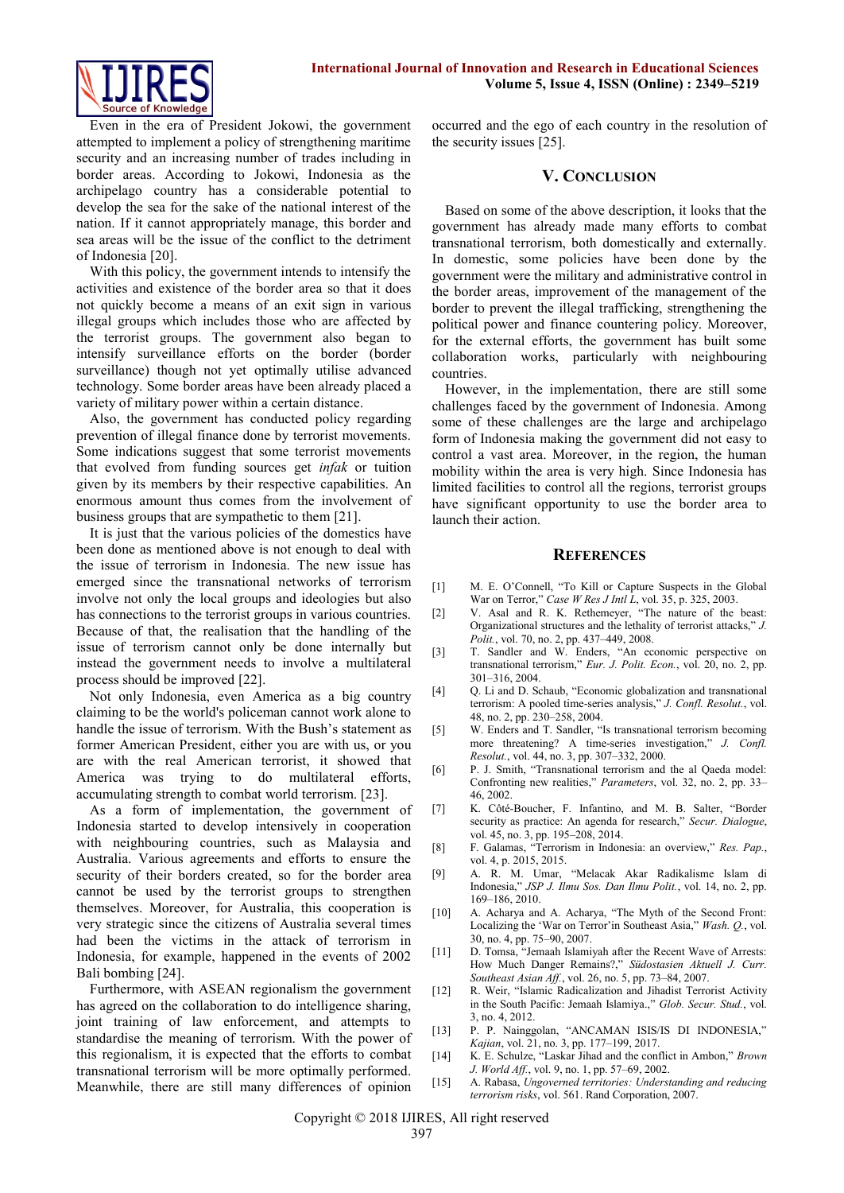

Even in the era of President Jokowi, the government attempted to implement a policy of strengthening maritime security and an increasing number of trades including in border areas. According to Jokowi, Indonesia as the archipelago country has a considerable potential to develop the sea for the sake of the national interest of the nation. If it cannot appropriately manage, this border and sea areas will be the issue of the conflict to the detriment of Indonesia [20].

With this policy, the government intends to intensify the activities and existence of the border area so that it does not quickly become a means of an exit sign in various illegal groups which includes those who are affected by the terrorist groups. The government also began to intensify surveillance efforts on the border (border surveillance) though not yet optimally utilise advanced technology. Some border areas have been already placed a variety of military power within a certain distance.

Also, the government has conducted policy regarding prevention of illegal finance done by terrorist movements. Some indications suggest that some terrorist movements that evolved from funding sources get *infak* or tuition given by its members by their respective capabilities. An enormous amount thus comes from the involvement of business groups that are sympathetic to them [21].

It is just that the various policies of the domestics have been done as mentioned above is not enough to deal with the issue of terrorism in Indonesia. The new issue has emerged since the transnational networks of terrorism involve not only the local groups and ideologies but also has connections to the terrorist groups in various countries. Because of that, the realisation that the handling of the issue of terrorism cannot only be done internally but instead the government needs to involve a multilateral process should be improved [22].

Not only Indonesia, even America as a big country claiming to be the world's policeman cannot work alone to handle the issue of terrorism. With the Bush's statement as former American President, either you are with us, or you are with the real American terrorist, it showed that America was trying to do multilateral efforts, accumulating strength to combat world terrorism. [23].

As a form of implementation, the government of Indonesia started to develop intensively in cooperation with neighbouring countries, such as Malaysia and Australia. Various agreements and efforts to ensure the security of their borders created, so for the border area cannot be used by the terrorist groups to strengthen themselves. Moreover, for Australia, this cooperation is very strategic since the citizens of Australia several times had been the victims in the attack of terrorism in Indonesia, for example, happened in the events of 2002 Bali bombing [24].

Furthermore, with ASEAN regionalism the government has agreed on the collaboration to do intelligence sharing, joint training of law enforcement, and attempts to standardise the meaning of terrorism. With the power of this regionalism, it is expected that the efforts to combat transnational terrorism will be more optimally performed. Meanwhile, there are still many differences of opinion occurred and the ego of each country in the resolution of the security issues [25].

#### **V. CONCLUSION**

Based on some of the above description, it looks that the government has already made many efforts to combat transnational terrorism, both domestically and externally. In domestic, some policies have been done by the government were the military and administrative control in the border areas, improvement of the management of the border to prevent the illegal trafficking, strengthening the political power and finance countering policy. Moreover, for the external efforts, the government has built some collaboration works, particularly with neighbouring countries.

However, in the implementation, there are still some challenges faced by the government of Indonesia. Among some of these challenges are the large and archipelago form of Indonesia making the government did not easy to control a vast area. Moreover, in the region, the human mobility within the area is very high. Since Indonesia has limited facilities to control all the regions, terrorist groups have significant opportunity to use the border area to launch their action.

#### **REFERENCES**

- [1] M. E. O'Connell, "To Kill or Capture Suspects in the Global War on Terror," *Case W Res J Intl L*, vol. 35, p. 325, 2003.
- [2] V. Asal and R. K. Rethemeyer, "The nature of the beast: Organizational structures and the lethality of terrorist attacks," *J. Polit.*, vol. 70, no. 2, pp. 437–449, 2008.
- [3] T. Sandler and W. Enders, "An economic perspective on transnational terrorism," *Eur. J. Polit. Econ.*, vol. 20, no. 2, pp. 301–316, 2004.
- [4] Q. Li and D. Schaub, "Economic globalization and transnational terrorism: A pooled time-series analysis," *J. Confl. Resolut.*, vol. 48, no. 2, pp. 230–258, 2004.
- [5] W. Enders and T. Sandler, "Is transnational terrorism becoming more threatening? A time-series investigation," *J. Confl. Resolut.*, vol. 44, no. 3, pp. 307–332, 2000.
- [6] P. J. Smith, "Transnational terrorism and the al Qaeda model: Confronting new realities," *Parameters*, vol. 32, no. 2, pp. 33– 46, 2002.
- [7] K. Côté-Boucher, F. Infantino, and M. B. Salter, "Border security as practice: An agenda for research," *Secur. Dialogue*, vol. 45, no. 3, pp. 195–208, 2014.
- [8] F. Galamas, "Terrorism in Indonesia: an overview," *Res. Pap.*, vol. 4, p. 2015, 2015.
- [9] A. R. M. Umar, "Melacak Akar Radikalisme Islam di Indonesia," *JSP J. Ilmu Sos. Dan Ilmu Polit.*, vol. 14, no. 2, pp. 169–186, 2010.
- [10] A. Acharya and A. Acharya, "The Myth of the Second Front: Localizing the 'War on Terror'in Southeast Asia," *Wash. Q.*, vol. 30, no. 4, pp. 75–90, 2007.
- [11] D. Tomsa, "Jemaah Islamiyah after the Recent Wave of Arrests: How Much Danger Remains?," *Südostasien Aktuell J. Curr. Southeast Asian Aff.*, vol. 26, no. 5, pp. 73–84, 2007.
- [12] R. Weir, "Islamic Radicalization and Jihadist Terrorist Activity in the South Pacific: Jemaah Islamiya.," *Glob. Secur. Stud.*, vol. 3, no. 4, 2012.
- [13] P. P. Nainggolan, "ANCAMAN ISIS/IS DI INDONESIA," *Kajian*, vol. 21, no. 3, pp. 177–199, 2017.
- [14] K. E. Schulze, "Laskar Jihad and the conflict in Ambon," *Brown J. World Aff.*, vol. 9, no. 1, pp. 57–69, 2002.
- [15] A. Rabasa, *Ungoverned territories: Understanding and reducing terrorism risks*, vol. 561. Rand Corporation, 2007.